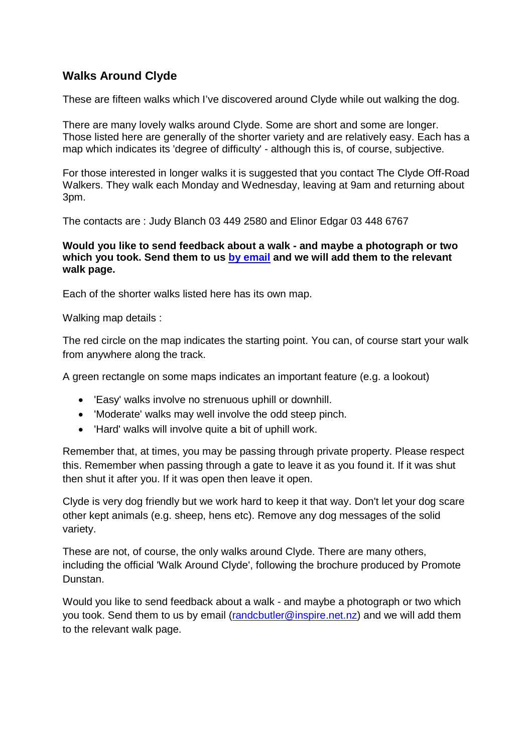## **Walks Around Clyde**

These are fifteen walks which I've discovered around Clyde while out walking the dog.

There are many lovely walks around Clyde. Some are short and some are longer. Those listed here are generally of the shorter variety and are relatively easy. Each has a map which indicates its 'degree of difficulty' - although this is, of course, subjective.

For those interested in longer walks it is suggested that you contact The Clyde Off-Road Walkers. They walk each Monday and Wednesday, leaving at 9am and returning about 3pm.

The contacts are : Judy Blanch 03 449 2580 and Elinor Edgar 03 448 6767

#### **Would you like to send feedback about a walk - and maybe a photograph or two**  which you took. Send them to us by email and we will add them to the relevant **walk page.**

Each of the shorter walks listed here has its own map.

Walking map details :

The red circle on the map indicates the starting point. You can, of course start your walk from anywhere along the track.

A green rectangle on some maps indicates an important feature (e.g. a lookout)

- 'Easy' walks involve no strenuous uphill or downhill.
- 'Moderate' walks may well involve the odd steep pinch.
- 'Hard' walks will involve quite a bit of uphill work.

Remember that, at times, you may be passing through private property. Please respect this. Remember when passing through a gate to leave it as you found it. If it was shut then shut it after you. If it was open then leave it open.

Clyde is very dog friendly but we work hard to keep it that way. Don't let your dog scare other kept animals (e.g. sheep, hens etc). Remove any dog messages of the solid variety.

These are not, of course, the only walks around Clyde. There are many others, including the official 'Walk Around Clyde', following the brochure produced by Promote Dunstan.

Would you like to send feedback about a walk - and maybe a photograph or two which you took. Send them to us by email (randcbutler@inspire.net.nz) and we will add them to the relevant walk page.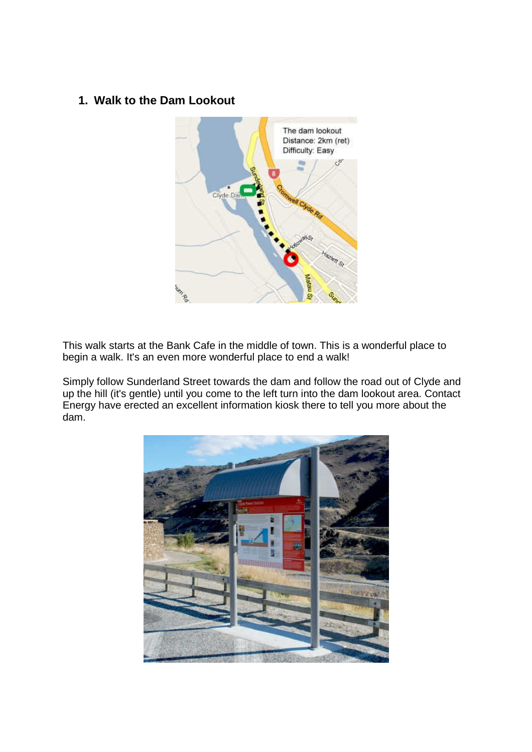#### **1. Walk to the Dam Lookout**



This walk starts at the Bank Cafe in the middle of town. This is a wonderful place to begin a walk. It's an even more wonderful place to end a walk!

Simply follow Sunderland Street towards the dam and follow the road out of Clyde and up the hill (it's gentle) until you come to the left turn into the dam lookout area. Contact Energy have erected an excellent information kiosk there to tell you more about the dam.

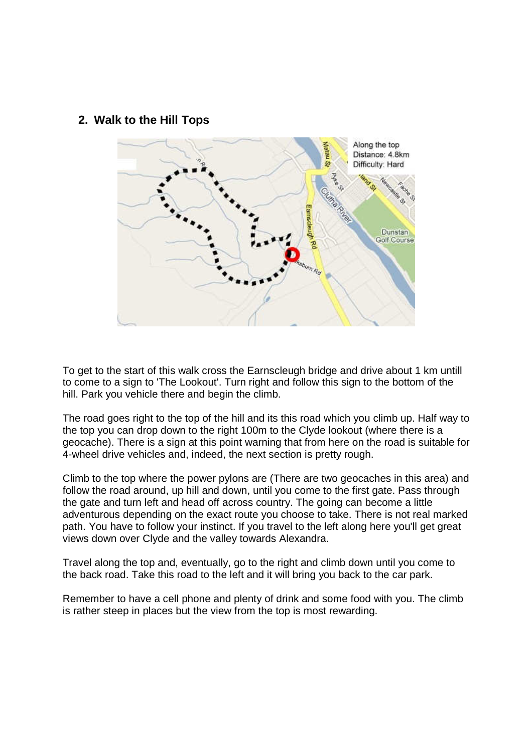#### **2. Walk to the Hill Tops**



To get to the start of this walk cross the Earnscleugh bridge and drive about 1 km untill to come to a sign to 'The Lookout'. Turn right and follow this sign to the bottom of the hill. Park you vehicle there and begin the climb.

The road goes right to the top of the hill and its this road which you climb up. Half way to the top you can drop down to the right 100m to the Clyde lookout (where there is a geocache). There is a sign at this point warning that from here on the road is suitable for 4-wheel drive vehicles and, indeed, the next section is pretty rough.

Climb to the top where the power pylons are (There are two geocaches in this area) and follow the road around, up hill and down, until you come to the first gate. Pass through the gate and turn left and head off across country. The going can become a little adventurous depending on the exact route you choose to take. There is not real marked path. You have to follow your instinct. If you travel to the left along here you'll get great views down over Clyde and the valley towards Alexandra.

Travel along the top and, eventually, go to the right and climb down until you come to the back road. Take this road to the left and it will bring you back to the car park.

Remember to have a cell phone and plenty of drink and some food with you. The climb is rather steep in places but the view from the top is most rewarding.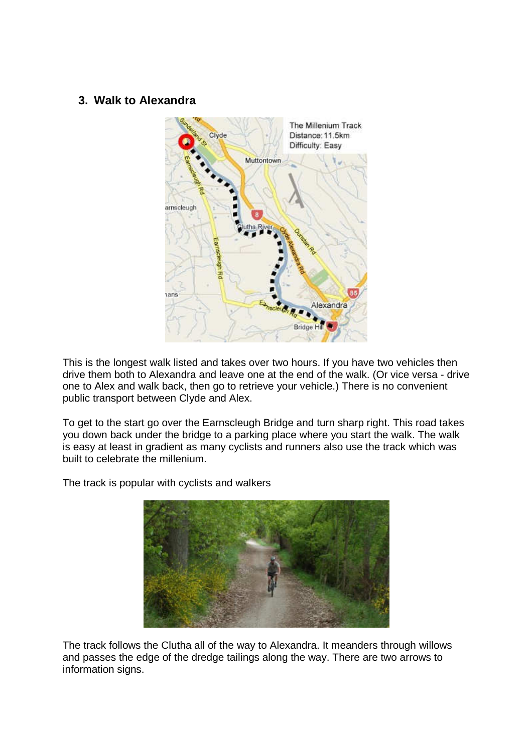### **3. Walk to Alexandra**



This is the longest walk listed and takes over two hours. If you have two vehicles then drive them both to Alexandra and leave one at the end of the walk. (Or vice versa - drive one to Alex and walk back, then go to retrieve your vehicle.) There is no convenient public transport between Clyde and Alex.

To get to the start go over the Earnscleugh Bridge and turn sharp right. This road takes you down back under the bridge to a parking place where you start the walk. The walk is easy at least in gradient as many cyclists and runners also use the track which was built to celebrate the millenium.

The track is popular with cyclists and walkers



The track follows the Clutha all of the way to Alexandra. It meanders through willows and passes the edge of the dredge tailings along the way. There are two arrows to information signs.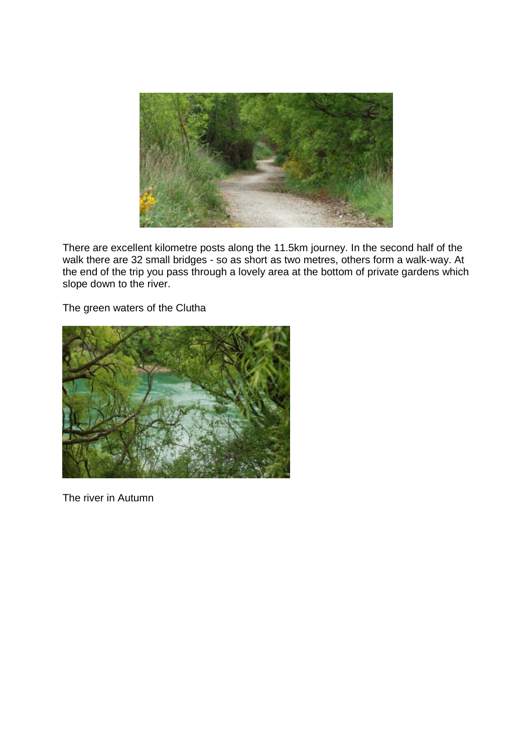

There are excellent kilometre posts along the 11.5km journey. In the second half of the walk there are 32 small bridges - so as short as two metres, others form a walk-way. At the end of the trip you pass through a lovely area at the bottom of private gardens which slope down to the river.

The green waters of the Clutha



The river in Autumn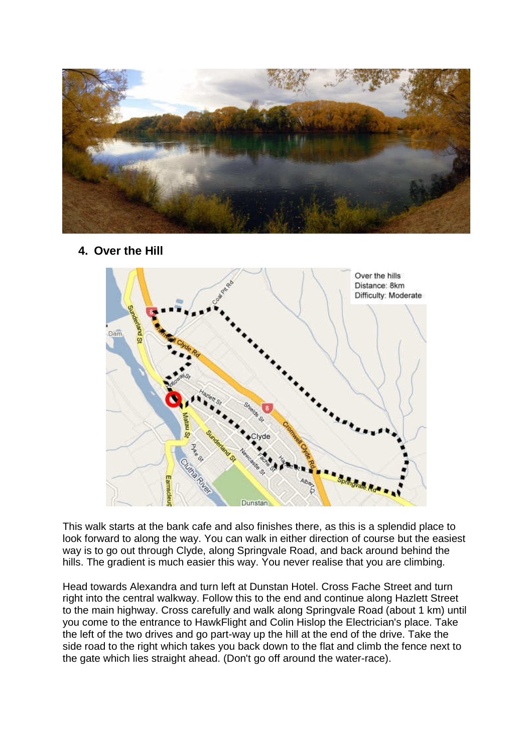

**4. Over the Hill** 



This walk starts at the bank cafe and also finishes there, as this is a splendid place to look forward to along the way. You can walk in either direction of course but the easiest way is to go out through Clyde, along Springvale Road, and back around behind the hills. The gradient is much easier this way. You never realise that you are climbing.

Head towards Alexandra and turn left at Dunstan Hotel. Cross Fache Street and turn right into the central walkway. Follow this to the end and continue along Hazlett Street to the main highway. Cross carefully and walk along Springvale Road (about 1 km) until you come to the entrance to HawkFlight and Colin Hislop the Electrician's place. Take the left of the two drives and go part-way up the hill at the end of the drive. Take the side road to the right which takes you back down to the flat and climb the fence next to the gate which lies straight ahead. (Don't go off around the water-race).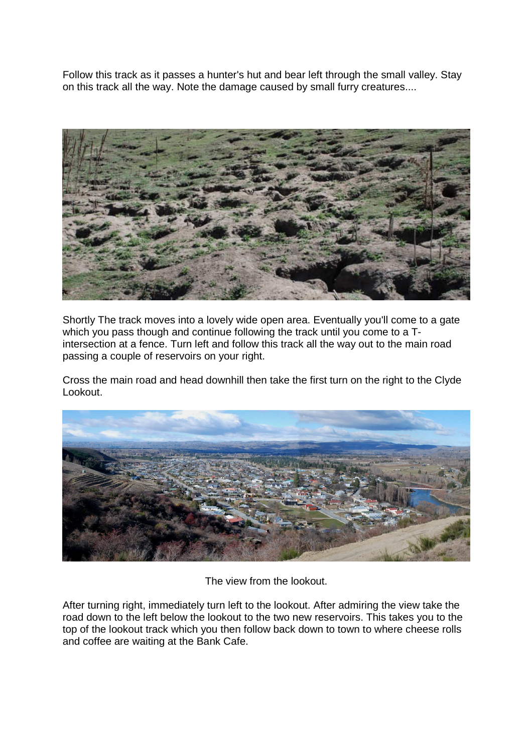Follow this track as it passes a hunter's hut and bear left through the small valley. Stay on this track all the way. Note the damage caused by small furry creatures....



Shortly The track moves into a lovely wide open area. Eventually you'll come to a gate which you pass though and continue following the track until you come to a Tintersection at a fence. Turn left and follow this track all the way out to the main road passing a couple of reservoirs on your right.

Cross the main road and head downhill then take the first turn on the right to the Clyde Lookout.



The view from the lookout.

After turning right, immediately turn left to the lookout. After admiring the view take the road down to the left below the lookout to the two new reservoirs. This takes you to the top of the lookout track which you then follow back down to town to where cheese rolls and coffee are waiting at the Bank Cafe.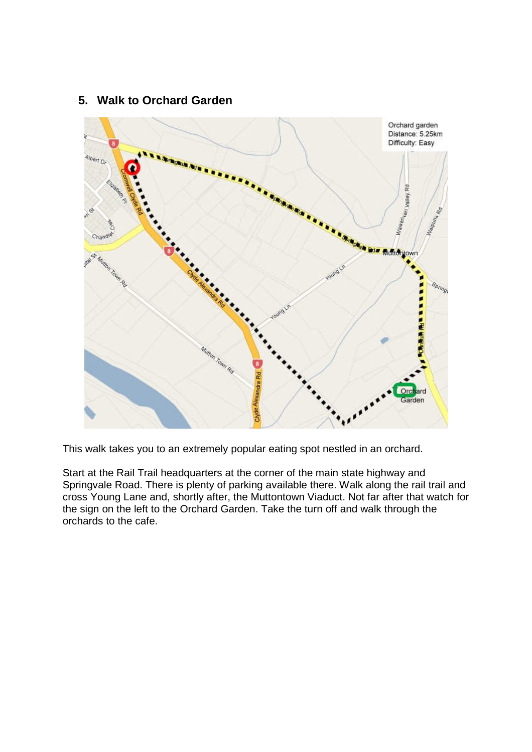

#### **5. Walk to Orchard Garden**

This walk takes you to an extremely popular eating spot nestled in an orchard.

Start at the Rail Trail headquarters at the corner of the main state highway and Springvale Road. There is plenty of parking available there. Walk along the rail trail and cross Young Lane and, shortly after, the Muttontown Viaduct. Not far after that watch for the sign on the left to the Orchard Garden. Take the turn off and walk through the orchards to the cafe.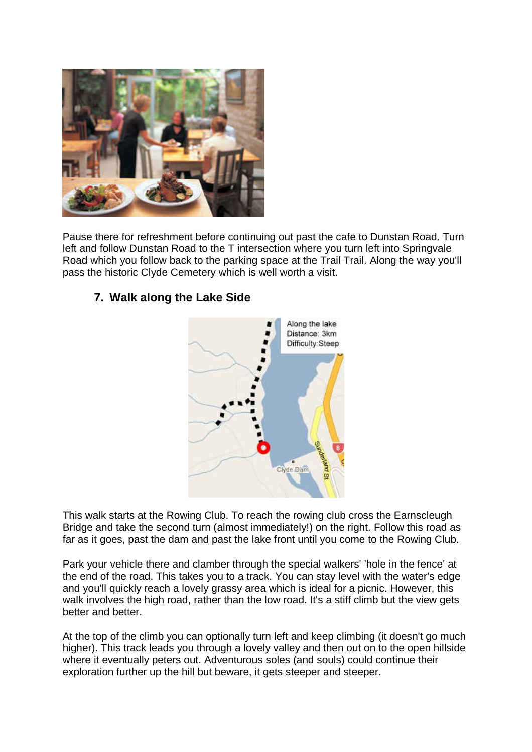

Pause there for refreshment before continuing out past the cafe to Dunstan Road. Turn left and follow Dunstan Road to the T intersection where you turn left into Springvale Road which you follow back to the parking space at the Trail Trail. Along the way you'll pass the historic Clyde Cemetery which is well worth a visit.

### **7. Walk along the Lake Side**



This walk starts at the Rowing Club. To reach the rowing club cross the Earnscleugh Bridge and take the second turn (almost immediately!) on the right. Follow this road as far as it goes, past the dam and past the lake front until you come to the Rowing Club.

Park your vehicle there and clamber through the special walkers' 'hole in the fence' at the end of the road. This takes you to a track. You can stay level with the water's edge and you'll quickly reach a lovely grassy area which is ideal for a picnic. However, this walk involves the high road, rather than the low road. It's a stiff climb but the view gets better and better.

At the top of the climb you can optionally turn left and keep climbing (it doesn't go much higher). This track leads you through a lovely valley and then out on to the open hillside where it eventually peters out. Adventurous soles (and souls) could continue their exploration further up the hill but beware, it gets steeper and steeper.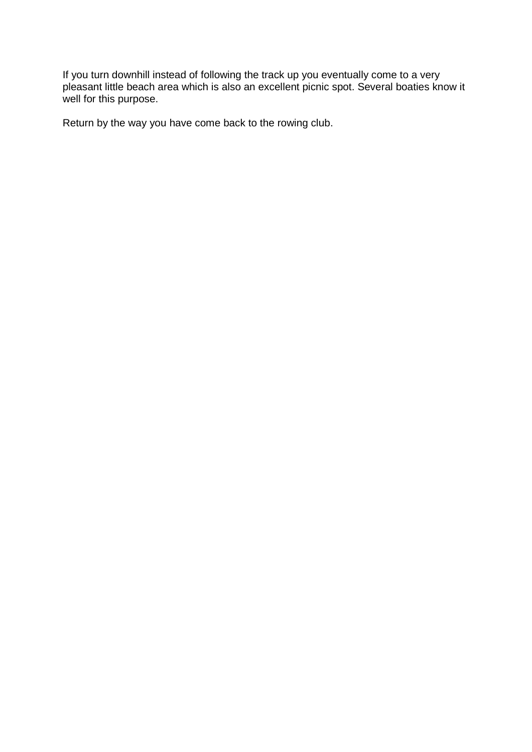If you turn downhill instead of following the track up you eventually come to a very pleasant little beach area which is also an excellent picnic spot. Several boaties know it well for this purpose.

Return by the way you have come back to the rowing club.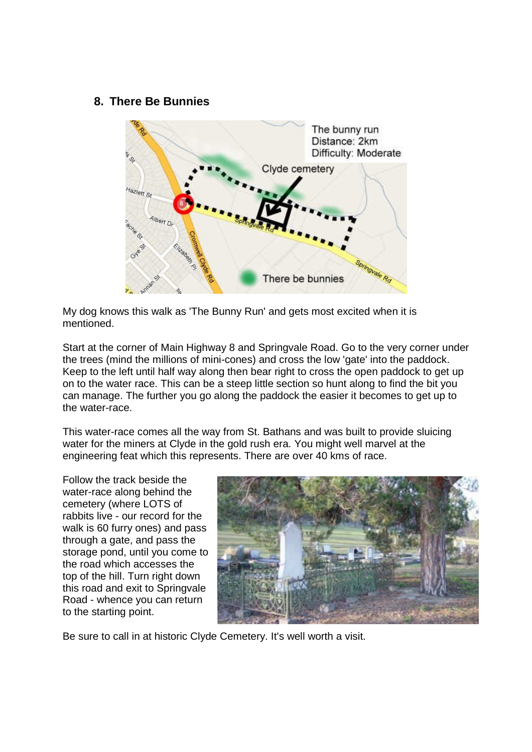#### **8. There Be Bunnies**



My dog knows this walk as 'The Bunny Run' and gets most excited when it is mentioned.

Start at the corner of Main Highway 8 and Springvale Road. Go to the very corner under the trees (mind the millions of mini-cones) and cross the low 'gate' into the paddock. Keep to the left until half way along then bear right to cross the open paddock to get up on to the water race. This can be a steep little section so hunt along to find the bit you can manage. The further you go along the paddock the easier it becomes to get up to the water-race.

This water-race comes all the way from St. Bathans and was built to provide sluicing water for the miners at Clyde in the gold rush era. You might well marvel at the engineering feat which this represents. There are over 40 kms of race.

Follow the track beside the water-race along behind the cemetery (where LOTS of rabbits live - our record for the walk is 60 furry ones) and pass through a gate, and pass the storage pond, until you come to the road which accesses the top of the hill. Turn right down this road and exit to Springvale Road - whence you can return to the starting point.



Be sure to call in at historic Clyde Cemetery. It's well worth a visit.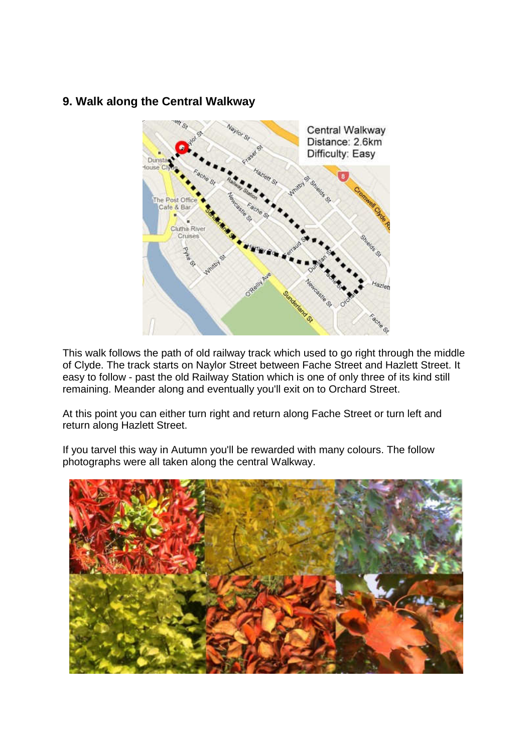### **9. Walk along the Central Walkway**



This walk follows the path of old railway track which used to go right through the middle of Clyde. The track starts on Naylor Street between Fache Street and Hazlett Street. It easy to follow - past the old Railway Station which is one of only three of its kind still remaining. Meander along and eventually you'll exit on to Orchard Street.

At this point you can either turn right and return along Fache Street or turn left and return along Hazlett Street.

If you tarvel this way in Autumn you'll be rewarded with many colours. The follow photographs were all taken along the central Walkway.

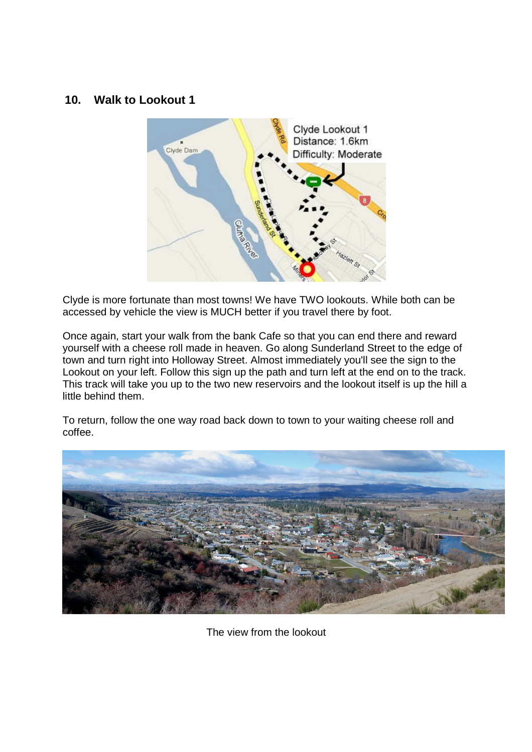#### **10. Walk to Lookout 1**



Clyde is more fortunate than most towns! We have TWO lookouts. While both can be accessed by vehicle the view is MUCH better if you travel there by foot.

Once again, start your walk from the bank Cafe so that you can end there and reward yourself with a cheese roll made in heaven. Go along Sunderland Street to the edge of town and turn right into Holloway Street. Almost immediately you'll see the sign to the Lookout on your left. Follow this sign up the path and turn left at the end on to the track. This track will take you up to the two new reservoirs and the lookout itself is up the hill a little behind them.

To return, follow the one way road back down to town to your waiting cheese roll and coffee.



The view from the lookout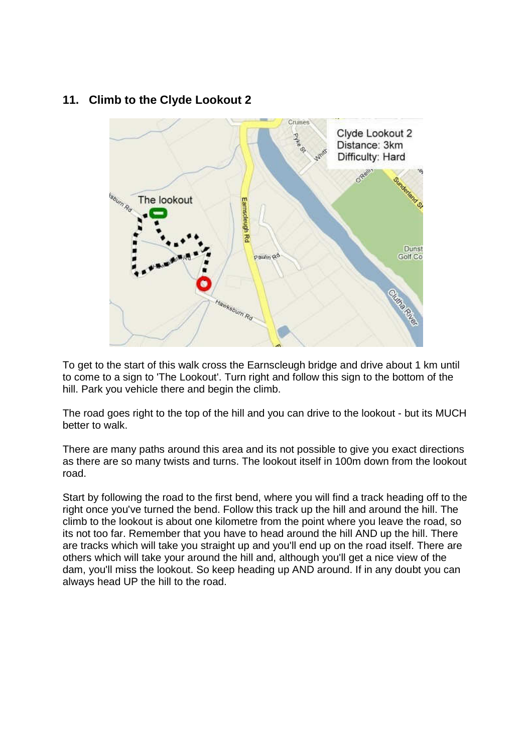## **11. Climb to the Clyde Lookout 2**



To get to the start of this walk cross the Earnscleugh bridge and drive about 1 km until to come to a sign to 'The Lookout'. Turn right and follow this sign to the bottom of the hill. Park you vehicle there and begin the climb.

The road goes right to the top of the hill and you can drive to the lookout - but its MUCH better to walk.

There are many paths around this area and its not possible to give you exact directions as there are so many twists and turns. The lookout itself in 100m down from the lookout road.

Start by following the road to the first bend, where you will find a track heading off to the right once you've turned the bend. Follow this track up the hill and around the hill. The climb to the lookout is about one kilometre from the point where you leave the road, so its not too far. Remember that you have to head around the hill AND up the hill. There are tracks which will take you straight up and you'll end up on the road itself. There are others which will take your around the hill and, although you'll get a nice view of the dam, you'll miss the lookout. So keep heading up AND around. If in any doubt you can always head UP the hill to the road.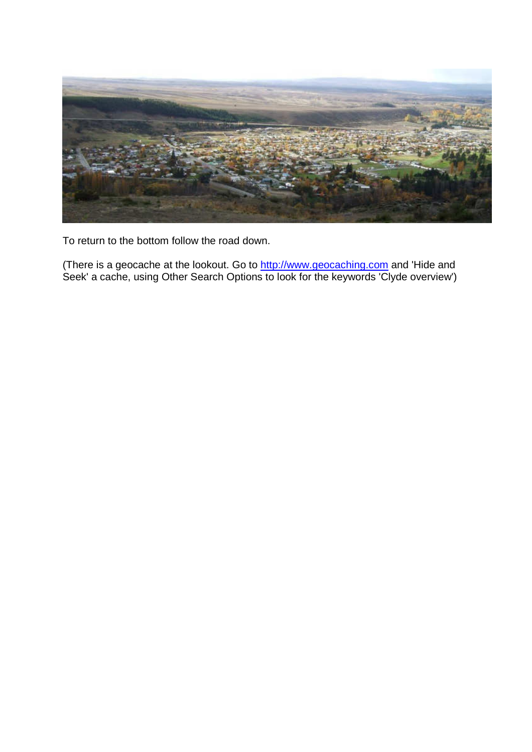

To return to the bottom follow the road down.

(There is a geocache at the lookout. Go to http://www.geocaching.com and 'Hide and Seek' a cache, using Other Search Options to look for the keywords 'Clyde overview')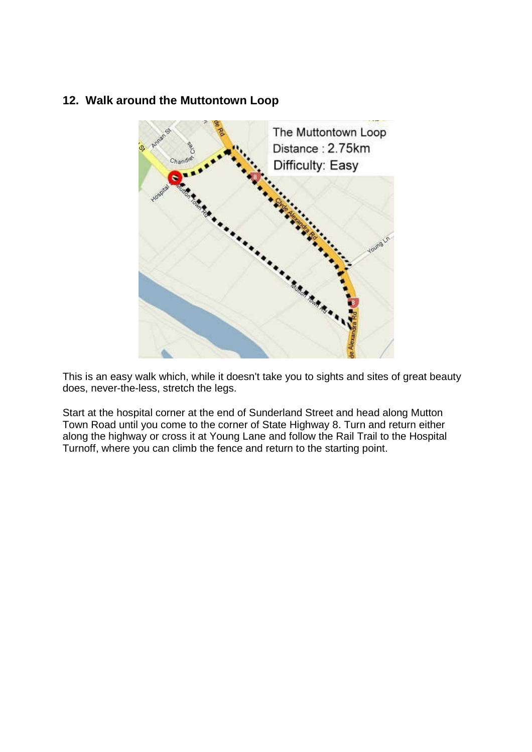## **12. Walk around the Muttontown Loop**



This is an easy walk which, while it doesn't take you to sights and sites of great beauty does, never-the-less, stretch the legs.

Start at the hospital corner at the end of Sunderland Street and head along Mutton Town Road until you come to the corner of State Highway 8. Turn and return either along the highway or cross it at Young Lane and follow the Rail Trail to the Hospital Turnoff, where you can climb the fence and return to the starting point.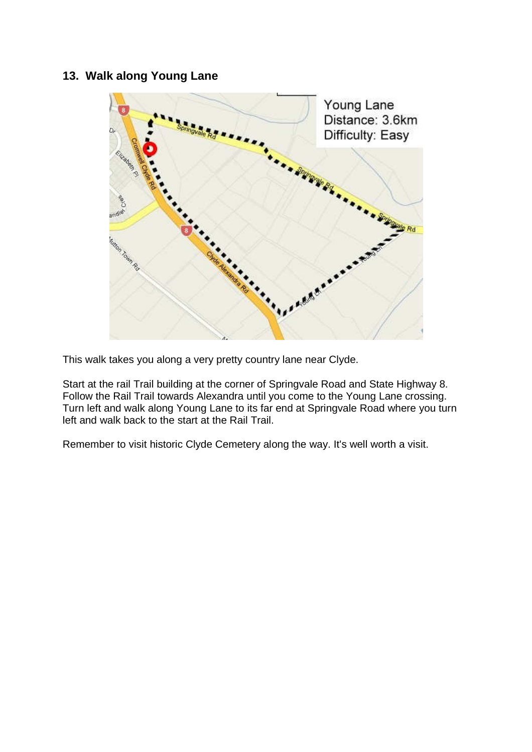## **13. Walk along Young Lane**



This walk takes you along a very pretty country lane near Clyde.

Start at the rail Trail building at the corner of Springvale Road and State Highway 8. Follow the Rail Trail towards Alexandra until you come to the Young Lane crossing. Turn left and walk along Young Lane to its far end at Springvale Road where you turn left and walk back to the start at the Rail Trail.

Remember to visit historic Clyde Cemetery along the way. It's well worth a visit.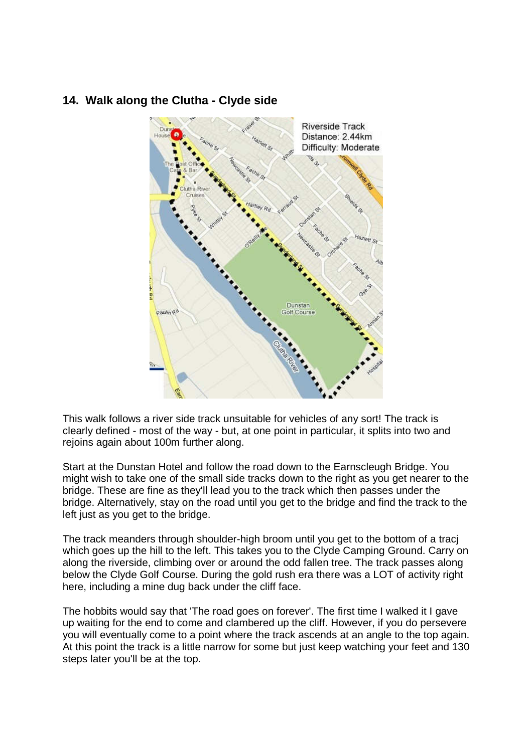

## **14. Walk along the Clutha - Clyde side**

This walk follows a river side track unsuitable for vehicles of any sort! The track is clearly defined - most of the way - but, at one point in particular, it splits into two and rejoins again about 100m further along.

Start at the Dunstan Hotel and follow the road down to the Earnscleugh Bridge. You might wish to take one of the small side tracks down to the right as you get nearer to the bridge. These are fine as they'll lead you to the track which then passes under the bridge. Alternatively, stay on the road until you get to the bridge and find the track to the left just as you get to the bridge.

The track meanders through shoulder-high broom until you get to the bottom of a tracj which goes up the hill to the left. This takes you to the Clyde Camping Ground. Carry on along the riverside, climbing over or around the odd fallen tree. The track passes along below the Clyde Golf Course. During the gold rush era there was a LOT of activity right here, including a mine dug back under the cliff face.

The hobbits would say that 'The road goes on forever'. The first time I walked it I gave up waiting for the end to come and clambered up the cliff. However, if you do persevere you will eventually come to a point where the track ascends at an angle to the top again. At this point the track is a little narrow for some but just keep watching your feet and 130 steps later you'll be at the top.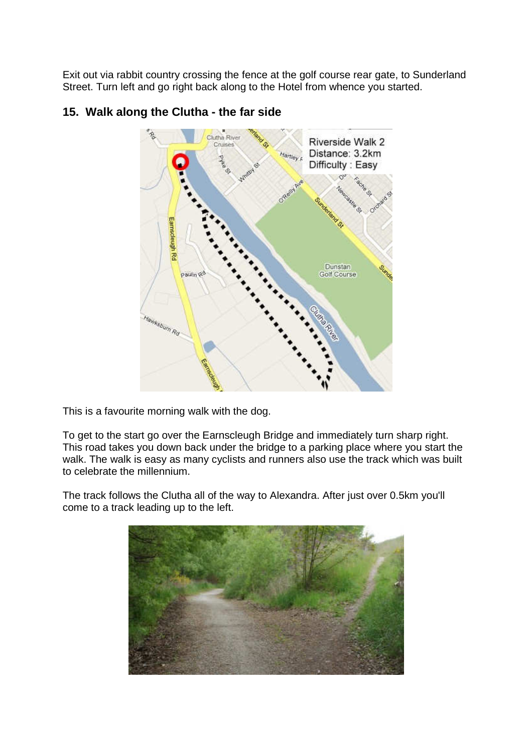Exit out via rabbit country crossing the fence at the golf course rear gate, to Sunderland Street. Turn left and go right back along to the Hotel from whence you started.



# **15. Walk along the Clutha - the far side**

This is a favourite morning walk with the dog.

To get to the start go over the Earnscleugh Bridge and immediately turn sharp right. This road takes you down back under the bridge to a parking place where you start the walk. The walk is easy as many cyclists and runners also use the track which was built to celebrate the millennium.

The track follows the Clutha all of the way to Alexandra. After just over 0.5km you'll come to a track leading up to the left.